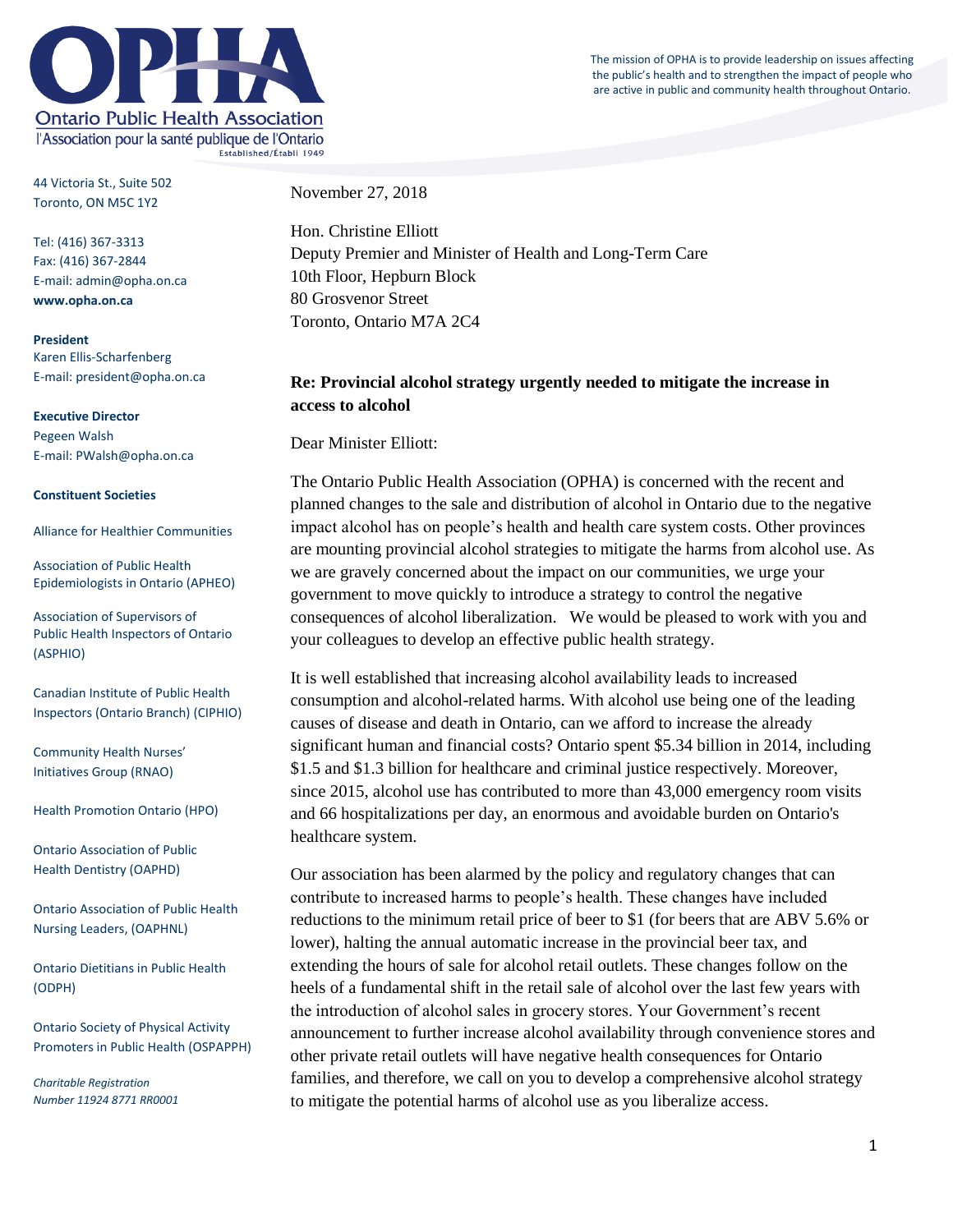The mission of OPHA is to provide leadership on issues affecting the public's health and to strengthen the impact of people who are active in public and community health throughout Ontario.



44 Victoria St., Suite 502 Toronto, ON M5C 1Y2

Tel: (416) 367-3313 Fax: (416) 367-2844 E-mail: admin@opha.on.ca **www.opha.on.ca**

**President** Karen Ellis-Scharfenberg E-mail: president@opha.on.ca

**Executive Director** Pegeen Walsh E-mail: PWalsh@opha.on.ca

## **Constituent Societies**

Alliance for Healthier Communities

Association of Public Health Epidemiologists in Ontario (APHEO)

Association of Supervisors of Public Health Inspectors of Ontario (ASPHIO)

Canadian Institute of Public Health Inspectors (Ontario Branch) (CIPHIO)

Community Health Nurses' Initiatives Group (RNAO)

Health Promotion Ontario (HPO)

Ontario Association of Public Health Dentistry (OAPHD)

Ontario Association of Public Health Nursing Leaders, (OAPHNL)

Ontario Dietitians in Public Health (ODPH)

Ontario Society of Physical Activity Promoters in Public Health (OSPAPPH)

*Charitable Registration Number 11924 8771 RR0001* November 27, 2018

Hon. Christine Elliott Deputy Premier and Minister of Health and Long-Term Care 10th Floor, Hepburn Block 80 Grosvenor Street Toronto, Ontario M7A 2C4

## **Re: Provincial alcohol strategy urgently needed to mitigate the increase in access to alcohol**

Dear Minister Elliott:

The Ontario Public Health Association (OPHA) is concerned with the recent and planned changes to the sale and distribution of alcohol in Ontario due to the negative impact alcohol has on people's health and health care system costs. Other provinces are mounting provincial alcohol strategies to mitigate the harms from alcohol use. As we are gravely concerned about the impact on our communities, we urge your government to move quickly to introduce a strategy to control the negative consequences of alcohol liberalization. We would be pleased to work with you and your colleagues to develop an effective public health strategy.

It is well established that increasing alcohol availability leads to increased consumption and alcohol-related harms. With alcohol use being one of the leading causes of disease and death in Ontario, can we afford to increase the already significant human and financial costs? Ontario spent \$5.34 billion in 2014, including \$1.5 and \$1.3 billion for healthcare and criminal justice respectively. Moreover, since 2015, alcohol use has contributed to more than 43,000 emergency room visits and 66 hospitalizations per day, an enormous and avoidable burden on Ontario's healthcare system.

Our association has been alarmed by the policy and regulatory changes that can contribute to increased harms to people's health. These changes have included reductions to the minimum retail price of beer to \$1 (for beers that are ABV 5.6% or lower), halting the annual automatic increase in the provincial beer tax, and extending the hours of sale for alcohol retail outlets. These changes follow on the heels of a fundamental shift in the retail sale of alcohol over the last few years with the introduction of alcohol sales in grocery stores. Your Government's recent announcement to further increase alcohol availability through convenience stores and other private retail outlets will have negative health consequences for Ontario families, and therefore, we call on you to develop a comprehensive alcohol strategy to mitigate the potential harms of alcohol use as you liberalize access.